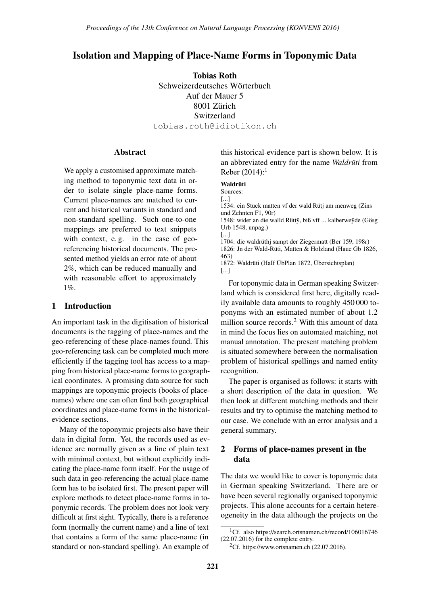# Isolation and Mapping of Place-Name Forms in Toponymic Data

Tobias Roth Schweizerdeutsches Wörterbuch Auf der Mauer 5 8001 Zürich Switzerland tobias.roth@idiotikon.ch

#### **Abstract**

We apply a customised approximate matching method to toponymic text data in order to isolate single place-name forms. Current place-names are matched to current and historical variants in standard and non-standard spelling. Such one-to-one mappings are preferred to text snippets with context, e.g. in the case of georeferencing historical documents. The presented method yields an error rate of about 2%, which can be reduced manually and with reasonable effort to approximately 1%.

### 1 Introduction

An important task in the digitisation of historical documents is the tagging of place-names and the geo-referencing of these place-names found. This geo-referencing task can be completed much more efficiently if the tagging tool has access to a mapping from historical place-name forms to geographical coordinates. A promising data source for such mappings are toponymic projects (books of placenames) where one can often find both geographical coordinates and place-name forms in the historicalevidence sections.

Many of the toponymic projects also have their data in digital form. Yet, the records used as evidence are normally given as a line of plain text with minimal context, but without explicitly indicating the place-name form itself. For the usage of such data in geo-referencing the actual place-name form has to be isolated first. The present paper will explore methods to detect place-name forms in toponymic records. The problem does not look very difficult at first sight. Typically, there is a reference form (normally the current name) and a line of text that contains a form of the same place-name (in standard or non-standard spelling). An example of

this historical-evidence part is shown below. It is an abbreviated entry for the name *Waldrüti* from Reber  $(2014)$ :<sup>1</sup>

#### Waldrüti

Sources:

[...] 1534: ein Stuck matten vf der wald Rütj am menweg (Zins und Zehnten F1, 90r)

1548: wider an die walld Rüttÿ, biß vff ... kalberweÿde (Gösg Urb 1548, unpag.)

[...] 1704: die waldrüthj sampt der Ziegermatt (Ber 159, 198r) 1826: Jn der Wald-Rüti, Matten & Holzland (Haue Gb 1826, 463) 1872: Waldrüti (HaIf ÜbPlan 1872, Übersichtsplan)

[...]

For toponymic data in German speaking Switzerland which is considered first here, digitally readily available data amounts to roughly 450 000 toponyms with an estimated number of about 1.2 million source records.<sup>2</sup> With this amount of data in mind the focus lies on automated matching, not manual annotation. The present matching problem is situated somewhere between the normalisation problem of historical spellings and named entity recognition.

The paper is organised as follows: it starts with a short description of the data in question. We then look at different matching methods and their results and try to optimise the matching method to our case. We conclude with an error analysis and a general summary.

### 2 Forms of place-names present in the data

The data we would like to cover is toponymic data in German speaking Switzerland. There are or have been several regionally organised toponymic projects. This alone accounts for a certain hetereogeneity in the data although the projects on the

<sup>1</sup>Cf. also https://search.ortsnamen.ch/record/106016746 (22.07.2016) for the complete entry.

<sup>&</sup>lt;sup>2</sup>Cf. https://www.ortsnamen.ch  $(22.07.2016)$ .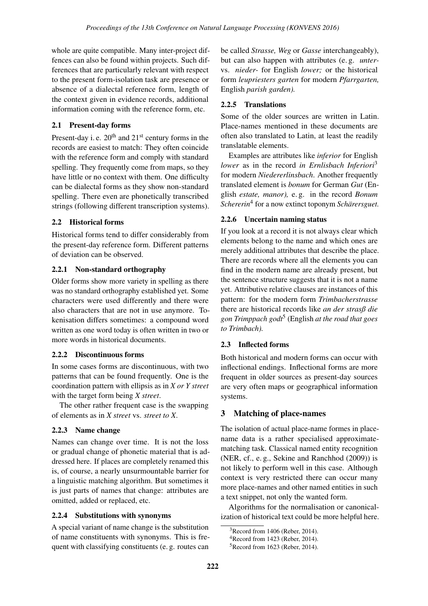whole are quite compatible. Many inter-project diffences can also be found within projects. Such differences that are particularly relevant with respect to the present form-isolation task are presence or absence of a dialectal reference form, length of the context given in evidence records, additional information coming with the reference form, etc.

# 2.1 Present-day forms

Present-day i. e. 20<sup>th</sup> and 21<sup>st</sup> century forms in the records are easiest to match: They often coincide with the reference form and comply with standard spelling. They frequently come from maps, so they have little or no context with them. One difficulty can be dialectal forms as they show non-standard spelling. There even are phonetically transcribed strings (following different transcription systems).

## 2.2 Historical forms

Historical forms tend to differ considerably from the present-day reference form. Different patterns of deviation can be observed.

## 2.2.1 Non-standard orthography

Older forms show more variety in spelling as there was no standard orthography established yet. Some characters were used differently and there were also characters that are not in use anymore. Tokenisation differs sometimes: a compound word written as one word today is often written in two or more words in historical documents.

### 2.2.2 Discontinuous forms

In some cases forms are discontinuous, with two patterns that can be found frequently. One is the coordination pattern with ellipsis as in *X or Y street* with the target form being *X street*.

The other rather frequent case is the swapping of elements as in *X street* vs. *street to X*.

# 2.2.3 Name change

Names can change over time. It is not the loss or gradual change of phonetic material that is addressed here. If places are completely renamed this is, of course, a nearly unsurmountable barrier for a linguistic matching algorithm. But sometimes it is just parts of names that change: attributes are omitted, added or replaced, etc.

## 2.2.4 Substitutions with synonyms

A special variant of name change is the substitution of name constituents with synonyms. This is frequent with classifying constituents (e. g. routes can

be called *Strasse, Weg* or *Gasse* interchangeably), but can also happen with attributes (e. g. *unter*vs. *nieder-* for English *lower;* or the historical form *leupriesters garten* for modern *Pfarrgarten,* English *parish garden).*

# 2.2.5 Translations

Some of the older sources are written in Latin. Place-names mentioned in these documents are often also translated to Latin, at least the readily translatable elements.

Examples are attributes like *inferior* for English *lower* as in the record *in Ernlisbach Inferiori*<sup>3</sup> for modern *Niedererlinsbach*. Another frequently translated element is *bonum* for German *Gut* (English *estate, manor),* e. g. in the record *Bonum Schererin*<sup>4</sup> for a now extinct toponym *Scharersguet. ¨*

## 2.2.6 Uncertain naming status

If you look at a record it is not always clear which elements belong to the name and which ones are merely additional attributes that describe the place. There are records where all the elements you can find in the modern name are already present, but the sentence structure suggests that it is not a name yet. Attributive relative clauses are instances of this pattern: for the modern form *Trimbacherstrasse* there are historical records like *an der strasß die gon Trimppach godt*<sup>5</sup> (English *at the road that goes to Trimbach).*

# 2.3 Inflected forms

Both historical and modern forms can occur with inflectional endings. Inflectional forms are more frequent in older sources as present-day sources are very often maps or geographical information systems.

# 3 Matching of place-names

The isolation of actual place-name formes in placename data is a rather specialised approximatematching task. Classical named entity recognition (NER, cf., e. g., Sekine and Ranchhod (2009)) is not likely to perform well in this case. Although context is very restricted there can occur many more place-names and other named entities in such a text snippet, not only the wanted form.

Algorithms for the normalisation or canonicalization of historical text could be more helpful here.

 $3$ Record from 1406 (Reber, 2014).

 $4$ Record from 1423 (Reber, 2014).

<sup>5</sup>Record from 1623 (Reber, 2014).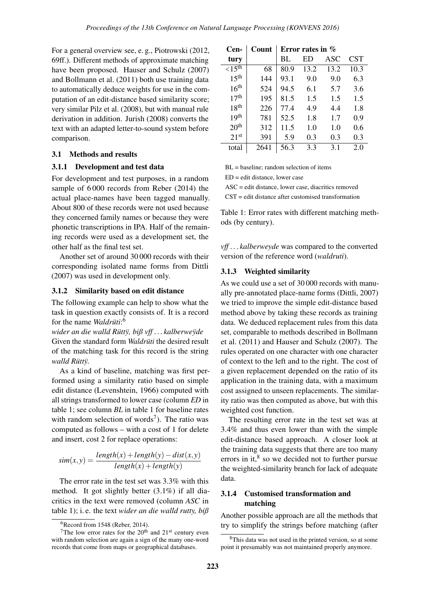For a general overview see, e. g., Piotrowski (2012, 69ff.). Different methods of approximate matching have been proposed. Hauser and Schulz (2007) and Bollmann et al. (2011) both use training data to automatically deduce weights for use in the computation of an edit-distance based similarity score; very similar Pilz et al. (2008), but with manual rule derivation in addition. Jurish (2008) converts the text with an adapted letter-to-sound system before comparison.

### 3.1 Methods and results

#### 3.1.1 Development and test data

For development and test purposes, in a random sample of 6 000 records from Reber (2014) the actual place-names have been tagged manually. About 800 of these records were not used because they concerned family names or because they were phonetic transcriptions in IPA. Half of the remaining records were used as a development set, the other half as the final test set.

Another set of around 30 000 records with their corresponding isolated name forms from Dittli (2007) was used in development only.

### 3.1.2 Similarity based on edit distance

The following example can help to show what the task in question exactly consists of. It is a record for the name *Waldrüti*:<sup>6</sup>

*wider an die walld Rüttÿ, biß vff... kalberweÿde* Given the standard form *Waldrüti* the desired result of the matching task for this record is the string *walld Rüttv*.

As a kind of baseline, matching was first performed using a similarity ratio based on simple edit distance (Levenshtein, 1966) computed with all strings transformed to lower case (column *ED* in table 1; see column *BL* in table 1 for baseline rates with random selection of words<sup>7</sup>). The ratio was computed as follows – with a cost of 1 for delete and insert, cost 2 for replace operations:

$$
sim(x, y) = \frac{length(x) + length(y) - dist(x, y)}{length(x) + length(y)}
$$

The error rate in the test set was 3.3% with this method. It got slightly better (3.1%) if all diacritics in the text were removed (column *ASC* in table 1); i. e. the text *wider an die walld rutty, biß*

| Cen-                         | Count | Error rates in $\%$ |      |      |      |  |
|------------------------------|-------|---------------------|------|------|------|--|
| tury                         |       | BL                  | ED   | ASC  | CST  |  |
| $\langle 15^{t\overline{h}}$ | 68    | 80.9                | 13.2 | 13.2 | 10.3 |  |
| 15 <sup>th</sup>             | 144   | 93.1                | 9.0  | 9.0  | 6.3  |  |
| 16 <sup>th</sup>             | 524   | 94.5                | 6.1  | 5.7  | 3.6  |  |
| 17 <sup>th</sup>             | 195   | 81.5                | 1.5  | 1.5  | 1.5  |  |
| 18 <sup>th</sup>             | 226   | 77.4                | 4.9  | 4.4  | 1.8  |  |
| 19 <sup>th</sup>             | 781   | 52.5                | 1.8  | 1.7  | 0.9  |  |
| 20 <sup>th</sup>             | 312   | 11.5                | 1.0  | 1.0  | 0.6  |  |
| 21 <sup>st</sup>             | 391   | 5.9                 | 0.3  | 0.3  | 0.3  |  |
| total                        | 2641  | 56.3                | 3.3  | 3.1  | 2.0  |  |

BL = baseline; random selection of items

 $ED =$  edit distance, lower case

ASC = edit distance, lower case, diacritics removed

CST = edit distance after customised transformation

Table 1: Error rates with different matching methods (by century).

*vff . . . kalberweyde* was compared to the converted version of the reference word (*waldruti*).

#### 3.1.3 Weighted similarity

As we could use a set of 30 000 records with manually pre-annotated place-name forms (Dittli, 2007) we tried to improve the simple edit-distance based method above by taking these records as training data. We deduced replacement rules from this data set, comparable to methods described in Bollmann et al. (2011) and Hauser and Schulz (2007). The rules operated on one character with one character of context to the left and to the right. The cost of a given replacement depended on the ratio of its application in the training data, with a maximum cost assigned to unseen replacements. The similarity ratio was then computed as above, but with this weighted cost function.

The resulting error rate in the test set was at 3.4% and thus even lower than with the simple edit-distance based approach. A closer look at the training data suggests that there are too many errors in it, $8$  so we decided not to further pursue the weighted-similarity branch for lack of adequate data.

### 3.1.4 Customised transformation and matching

Another possible approach are all the methods that try to simplify the strings before matching (after

 $6$ Record from 1548 (Reber, 2014).

<sup>&</sup>lt;sup>7</sup>The low error rates for the  $20<sup>th</sup>$  and  $21<sup>st</sup>$  century even with random selection are again a sign of the many one-word records that come from maps or geographical databases.

<sup>8</sup>This data was not used in the printed version, so at some point it presumably was not maintained properly anymore.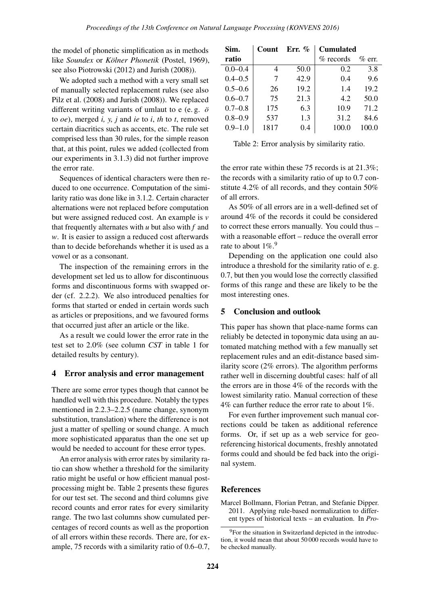the model of phonetic simplification as in methods like *Soundex* or *Kölner Phonetik* (Postel, 1969), see also Piotrowski (2012) and Jurish (2008)).

We adopted such a method with a very small set of manually selected replacement rules (see also Pilz et al. (2008) and Jurish (2008)). We replaced different writing variants of umlaut to e (e. g. *o¨* to *oe*), merged *i, y, j* and *ie* to *i*, *th* to *t*, removed certain diacritics such as accents, etc. The rule set comprised less than 30 rules, for the simple reason that, at this point, rules we added (collected from our experiments in 3.1.3) did not further improve the error rate.

Sequences of identical characters were then reduced to one occurrence. Computation of the similarity ratio was done like in 3.1.2. Certain character alternations were not replaced before computation but were assigned reduced cost. An example is *v* that frequently alternates with *u* but also with *f* and *w*. It is easier to assign a reduced cost afterwards than to decide beforehands whether it is used as a vowel or as a consonant.

The inspection of the remaining errors in the development set led us to allow for discontinuous forms and discontinuous forms with swapped order (cf. 2.2.2). We also introduced penalties for forms that started or ended in certain words such as articles or prepositions, and we favoured forms that occurred just after an article or the like.

As a result we could lower the error rate in the test set to 2.0% (see column *CST* in table 1 for detailed results by century).

### 4 Error analysis and error management

There are some error types though that cannot be handled well with this procedure. Notably the types mentioned in 2.2.3–2.2.5 (name change, synonym substitution, translation) where the difference is not just a matter of spelling or sound change. A much more sophisticated apparatus than the one set up would be needed to account for these error types.

An error analysis with error rates by similarity ratio can show whether a threshold for the similarity ratio might be useful or how efficient manual postprocessing might be. Table 2 presents these figures for our test set. The second and third columns give record counts and error rates for every similarity range. The two last columns show cumulated percentages of record counts as well as the proportion of all errors within these records. There are, for example, 75 records with a similarity ratio of 0.6–0.7,

| Sim.        | Count | Err. $\%$ | <b>Cumulated</b> |           |
|-------------|-------|-----------|------------------|-----------|
| ratio       |       |           | $\%$ records     | $\%$ err. |
| $0.0 - 0.4$ |       | 50.0      | 0.2              | 3.8       |
| $0.4 - 0.5$ | 7     | 42.9      | 0.4              | 9.6       |
| $0.5 - 0.6$ | 26    | 19.2      | 1.4              | 19.2      |
| $0.6 - 0.7$ | 75    | 21.3      | 4.2              | 50.0      |
| $0.7 - 0.8$ | 175   | 6.3       | 10.9             | 71.2      |
| $0.8 - 0.9$ | 537   | 1.3       | 31.2             | 84.6      |
| $0.9 - 1.0$ | 1817  | 0.4       | 100.0            | 100.0     |

Table 2: Error analysis by similarity ratio.

the error rate within these 75 records is at 21.3%; the records with a similarity ratio of up to 0.7 constitute 4.2% of all records, and they contain 50% of all errors.

As 50% of all errors are in a well-defined set of around 4% of the records it could be considered to correct these errors manually. You could thus – with a reasonable effort – reduce the overall error rate to about  $1\%$ .<sup>9</sup>

Depending on the application one could also introduce a threshold for the similarity ratio of e. g. 0.7, but then you would lose the correctly classified forms of this range and these are likely to be the most interesting ones.

### 5 Conclusion and outlook

This paper has shown that place-name forms can reliably be detected in toponymic data using an automated matching method with a few manually set replacement rules and an edit-distance based similarity score (2% errors). The algorithm performs rather well in discerning doubtful cases: half of all the errors are in those 4% of the records with the lowest similarity ratio. Manual correction of these 4% can further reduce the error rate to about 1%.

For even further improvement such manual corrections could be taken as additional reference forms. Or, if set up as a web service for georeferencing historical documents, freshly annotated forms could and should be fed back into the original system.

### References

Marcel Bollmann, Florian Petran, and Stefanie Dipper. 2011. Applying rule-based normalization to different types of historical texts – an evaluation. In *Pro-*

<sup>9</sup>For the situation in Switzerland depicted in the introduction, it would mean that about 50 000 records would have to be checked manually.